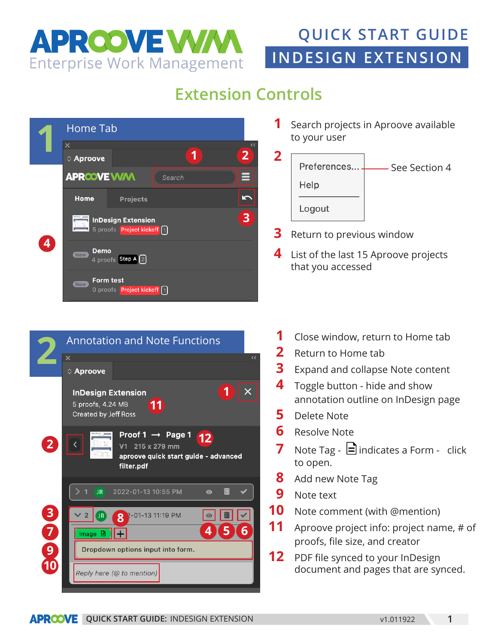

# **INDESIGN EXTENSION QUICK START GUIDE**

## **Extension Controls**



 Search projects in Aproove available to your user



- Return to previous window
- List of the last 15 Aproove projects that you accessed



- Close window, return to Home tab
- Return to Home tab
- Expand and collapse Note content
- Toggle button hide and show annotation outline on InDesign page
- Delete Note
- Resolve Note
- **7** Note Tag  $\Xi$  indicates a Form click to open.
- Add new Note Tag
- Note text
- Note comment (with @mention)
- Aproove project info: project name, # of proofs, file size, and creator
- PDF file synced to your InDesign document and pages that are synced.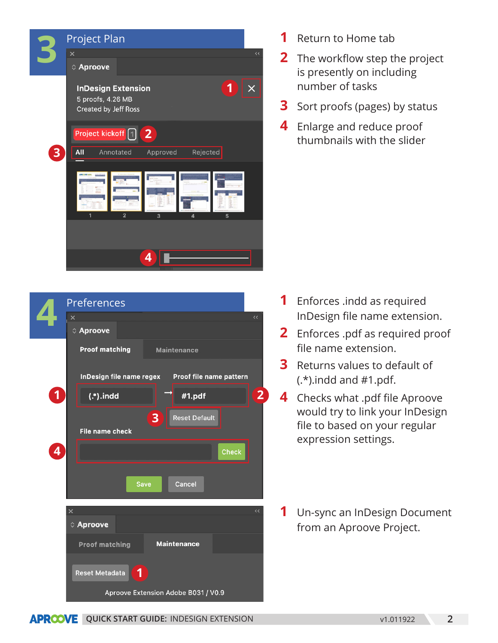



- Return to Home tab
- The workflow step the project is presently on including number of tasks
- Sort proofs (pages) by status
- Enlarge and reduce proof thumbnails with the slider

- Enforces .indd as required InDesign file name extension.
- Enforces .pdf as required proof file name extension.
- Returns values to default of  $(*)$ .indd and #1.pdf.
- Checks what .pdf file Aproove would try to link your InDesign file to based on your regular expression settings.
- Un-sync an InDesign Document from an Aproove Project.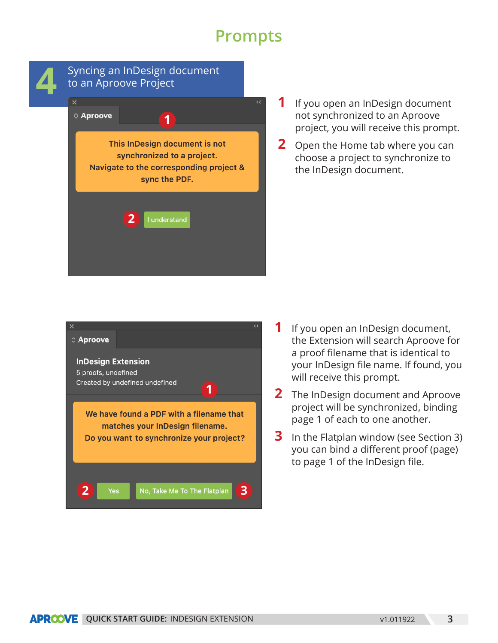### **Prompts**



#### Syncing an InDesign document<br>to an Aproove Project<br><u>Ex</u> to an Aproove Project C Aproove **1** This InDesign document is not synchronized to a project.

Navigate to the corresponding project & sync the PDF.

I understand

**2**

- **1** If you open an InDesign document not synchronized to an Aproove project, you will receive this prompt.
- **2** Open the Home tab where you can choose a project to synchronize to the InDesign document.



- **1** If you open an InDesign document, the Extension will search Aproove for a proof filename that is identical to your InDesign file name. If found, you will receive this prompt.
- **2** The InDesign document and Aproove project will be synchronized, binding page 1 of each to one another.
- **3** In the Flatplan window (see Section 3) you can bind a different proof (page) to page 1 of the InDesign file.